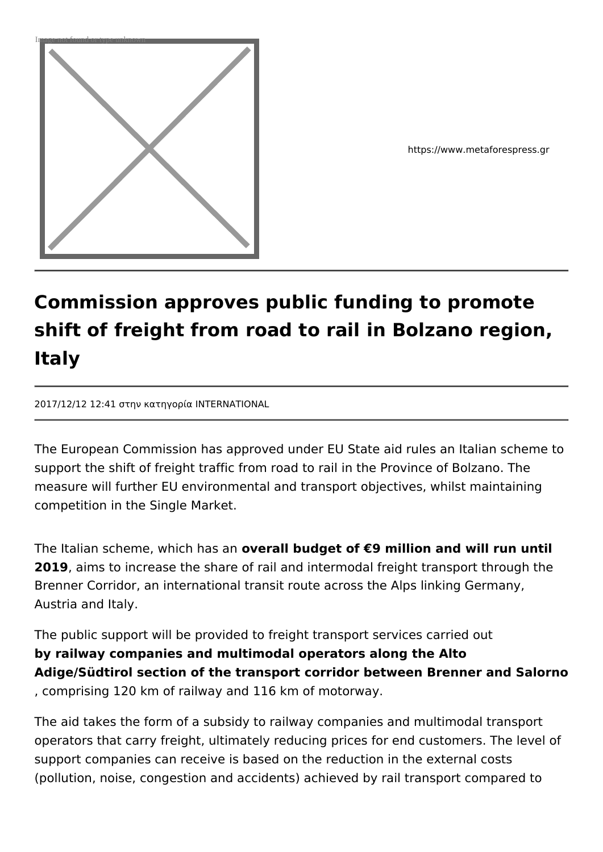

https://www.metaforespress.gr

## **Commission approves public funding to promote shift of freight from road to rail in Bolzano region, Italy**

2017/12/12 12:41 στην κατηγορία INTERNATIONAL

The European Commission has approved under EU State aid rules an Italian scheme to support the shift of freight traffic from road to rail in the Province of Bolzano. The measure will further EU environmental and transport objectives, whilst maintaining competition in the Single Market.

The Italian scheme, which has an **overall budget of €9 million and will run until 2019**, aims to increase the share of rail and intermodal freight transport through the Brenner Corridor, an international transit route across the Alps linking Germany, Austria and Italy.

The public support will be provided to freight transport services carried out **by railway companies and multimodal operators along the Alto Adige/Südtirol section of the transport corridor between Brenner and Salorno** , comprising 120 km of railway and 116 km of motorway.

The aid takes the form of a subsidy to railway companies and multimodal transport operators that carry freight, ultimately reducing prices for end customers. The level of support companies can receive is based on the reduction in the external costs (pollution, noise, congestion and accidents) achieved by rail transport compared to